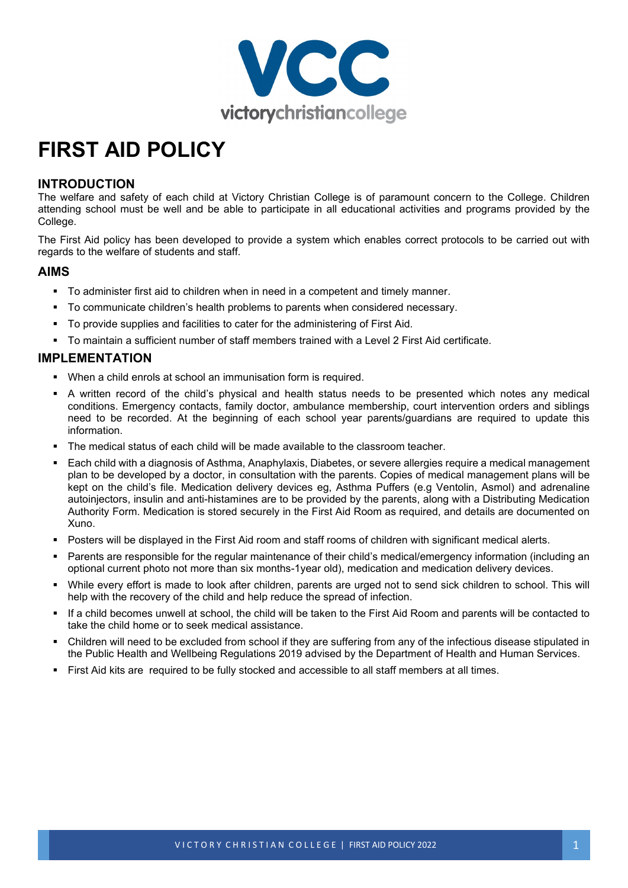

# **FIRST AID POLICY**

#### **INTRODUCTION**

The welfare and safety of each child at Victory Christian College is of paramount concern to the College. Children attending school must be well and be able to participate in all educational activities and programs provided by the College.

The First Aid policy has been developed to provide a system which enables correct protocols to be carried out with regards to the welfare of students and staff.

#### **AIMS**

- To administer first aid to children when in need in a competent and timely manner.
- To communicate children's health problems to parents when considered necessary.
- To provide supplies and facilities to cater for the administering of First Aid.
- To maintain a sufficient number of staff members trained with a Level 2 First Aid certificate.

## **IMPLEMENTATION**

- When a child enrols at school an immunisation form is required.
- A written record of the child's physical and health status needs to be presented which notes any medical conditions. Emergency contacts, family doctor, ambulance membership, court intervention orders and siblings need to be recorded. At the beginning of each school year parents/guardians are required to update this information.
- The medical status of each child will be made available to the classroom teacher.
- Each child with a diagnosis of Asthma, Anaphylaxis, Diabetes, or severe allergies require a medical management plan to be developed by a doctor, in consultation with the parents. Copies of medical management plans will be kept on the child's file. Medication delivery devices eg, Asthma Puffers (e.g Ventolin, Asmol) and adrenaline autoinjectors, insulin and anti-histamines are to be provided by the parents, along with a Distributing Medication Authority Form. Medication is stored securely in the First Aid Room as required, and details are documented on Xuno.
- Posters will be displayed in the First Aid room and staff rooms of children with significant medical alerts.
- Parents are responsible for the regular maintenance of their child's medical/emergency information (including an optional current photo not more than six months-1year old), medication and medication delivery devices.
- While every effort is made to look after children, parents are urged not to send sick children to school. This will help with the recovery of the child and help reduce the spread of infection.
- If a child becomes unwell at school, the child will be taken to the First Aid Room and parents will be contacted to take the child home or to seek medical assistance.
- Children will need to be excluded from school if they are suffering from any of the infectious disease stipulated in the Public Health and Wellbeing Regulations 2019 advised by the Department of Health and Human Services.
- First Aid kits are required to be fully stocked and accessible to all staff members at all times.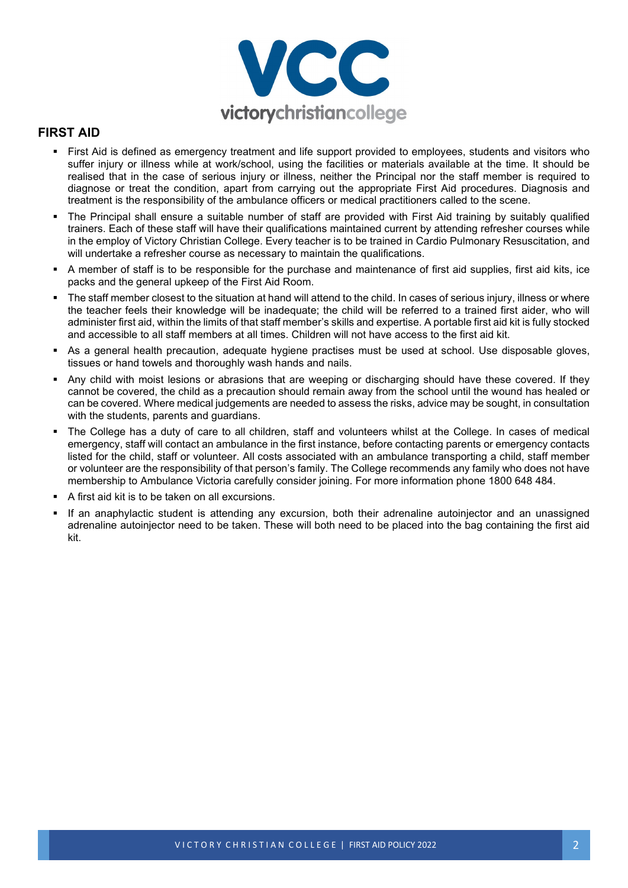

#### **FIRST AID**

- First Aid is defined as emergency treatment and life support provided to employees, students and visitors who suffer injury or illness while at work/school, using the facilities or materials available at the time. It should be realised that in the case of serious injury or illness, neither the Principal nor the staff member is required to diagnose or treat the condition, apart from carrying out the appropriate First Aid procedures. Diagnosis and treatment is the responsibility of the ambulance officers or medical practitioners called to the scene.
- The Principal shall ensure a suitable number of staff are provided with First Aid training by suitably qualified trainers. Each of these staff will have their qualifications maintained current by attending refresher courses while in the employ of Victory Christian College. Every teacher is to be trained in Cardio Pulmonary Resuscitation, and will undertake a refresher course as necessary to maintain the qualifications.
- A member of staff is to be responsible for the purchase and maintenance of first aid supplies, first aid kits, ice packs and the general upkeep of the First Aid Room.
- The staff member closest to the situation at hand will attend to the child. In cases of serious injury, illness or where the teacher feels their knowledge will be inadequate; the child will be referred to a trained first aider, who will administer first aid, within the limits of that staff member's skills and expertise. A portable first aid kit is fully stocked and accessible to all staff members at all times. Children will not have access to the first aid kit.
- As a general health precaution, adequate hygiene practises must be used at school. Use disposable gloves, tissues or hand towels and thoroughly wash hands and nails.
- Any child with moist lesions or abrasions that are weeping or discharging should have these covered. If they cannot be covered, the child as a precaution should remain away from the school until the wound has healed or can be covered. Where medical judgements are needed to assess the risks, advice may be sought, in consultation with the students, parents and quardians.
- The College has a duty of care to all children, staff and volunteers whilst at the College. In cases of medical emergency, staff will contact an ambulance in the first instance, before contacting parents or emergency contacts listed for the child, staff or volunteer. All costs associated with an ambulance transporting a child, staff member or volunteer are the responsibility of that person's family. The College recommends any family who does not have membership to Ambulance Victoria carefully consider joining. For more information phone 1800 648 484.
- A first aid kit is to be taken on all excursions.
- If an anaphylactic student is attending any excursion, both their adrenaline autoinjector and an unassigned adrenaline autoinjector need to be taken. These will both need to be placed into the bag containing the first aid kit.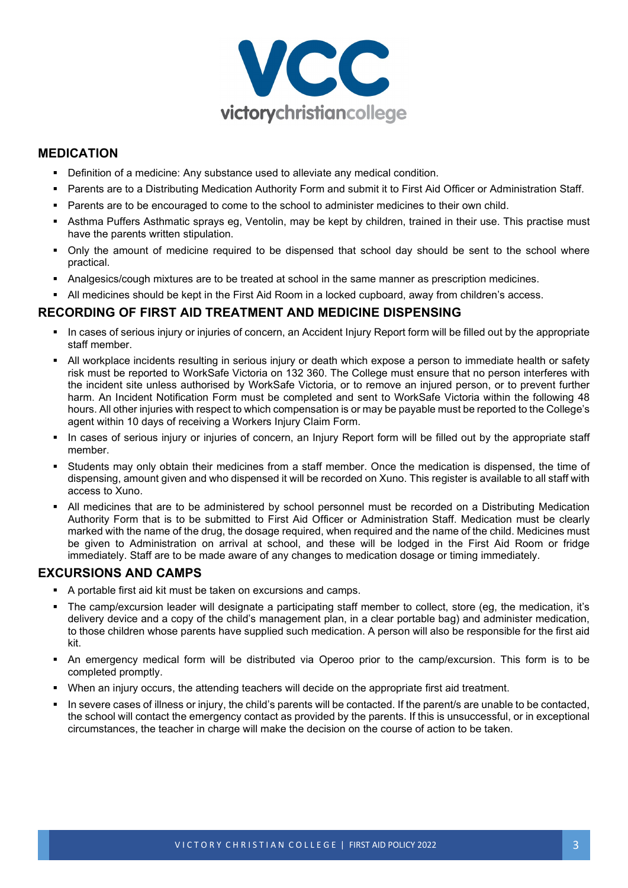

## **MEDICATION**

- **•** Definition of a medicine: Any substance used to alleviate any medical condition.
- Parents are to a Distributing Medication Authority Form and submit it to First Aid Officer or Administration Staff.
- Parents are to be encouraged to come to the school to administer medicines to their own child.
- Asthma Puffers Asthmatic sprays eg, Ventolin, may be kept by children, trained in their use. This practise must have the parents written stipulation.
- Only the amount of medicine required to be dispensed that school day should be sent to the school where practical.
- Analgesics/cough mixtures are to be treated at school in the same manner as prescription medicines.
- All medicines should be kept in the First Aid Room in a locked cupboard, away from children's access.

## **RECORDING OF FIRST AID TREATMENT AND MEDICINE DISPENSING**

- In cases of serious injury or injuries of concern, an Accident Injury Report form will be filled out by the appropriate staff member.
- All workplace incidents resulting in serious injury or death which expose a person to immediate health or safety risk must be reported to WorkSafe Victoria on 132 360. The College must ensure that no person interferes with the incident site unless authorised by WorkSafe Victoria, or to remove an injured person, or to prevent further harm. An Incident Notification Form must be completed and sent to WorkSafe Victoria within the following 48 hours. All other injuries with respect to which compensation is or may be payable must be reported to the College's agent within 10 days of receiving a Workers Injury Claim Form.
- In cases of serious injury or injuries of concern, an Injury Report form will be filled out by the appropriate staff member.
- Students may only obtain their medicines from a staff member. Once the medication is dispensed, the time of dispensing, amount given and who dispensed it will be recorded on Xuno. This register is available to all staff with access to Xuno.
- All medicines that are to be administered by school personnel must be recorded on a Distributing Medication Authority Form that is to be submitted to First Aid Officer or Administration Staff. Medication must be clearly marked with the name of the drug, the dosage required, when required and the name of the child. Medicines must be given to Administration on arrival at school, and these will be lodged in the First Aid Room or fridge immediately. Staff are to be made aware of any changes to medication dosage or timing immediately.

## **EXCURSIONS AND CAMPS**

- A portable first aid kit must be taken on excursions and camps.
- The camp/excursion leader will designate a participating staff member to collect, store (eg, the medication, it's delivery device and a copy of the child's management plan, in a clear portable bag) and administer medication, to those children whose parents have supplied such medication. A person will also be responsible for the first aid kit.
- An emergency medical form will be distributed via Operoo prior to the camp/excursion. This form is to be completed promptly.
- When an injury occurs, the attending teachers will decide on the appropriate first aid treatment.
- In severe cases of illness or injury, the child's parents will be contacted. If the parent/s are unable to be contacted, the school will contact the emergency contact as provided by the parents. If this is unsuccessful, or in exceptional circumstances, the teacher in charge will make the decision on the course of action to be taken.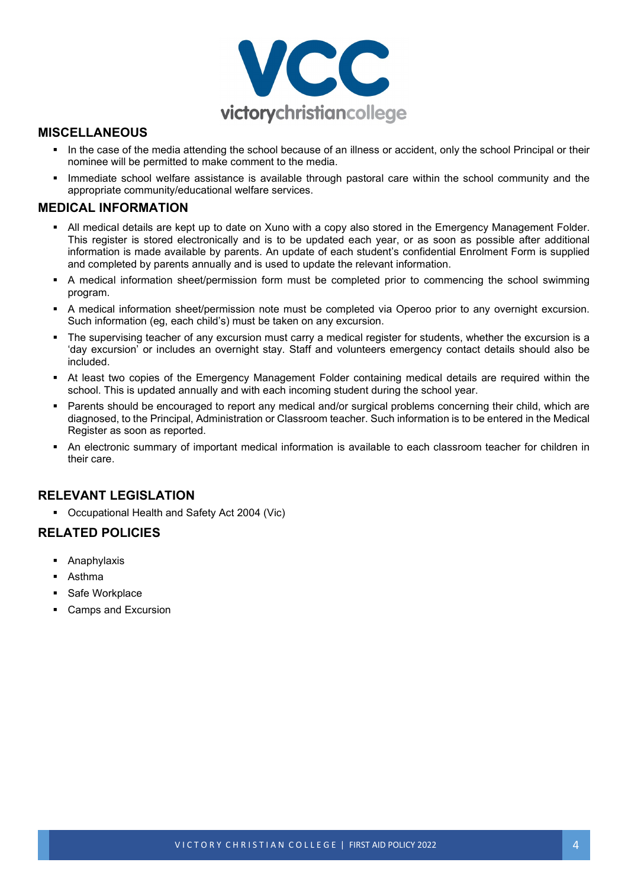

#### **MISCELLANEOUS**

- In the case of the media attending the school because of an illness or accident, only the school Principal or their nominee will be permitted to make comment to the media.
- Immediate school welfare assistance is available through pastoral care within the school community and the appropriate community/educational welfare services.

#### **MEDICAL INFORMATION**

- All medical details are kept up to date on Xuno with a copy also stored in the Emergency Management Folder. This register is stored electronically and is to be updated each year, or as soon as possible after additional information is made available by parents. An update of each student's confidential Enrolment Form is supplied and completed by parents annually and is used to update the relevant information.
- A medical information sheet/permission form must be completed prior to commencing the school swimming program.
- A medical information sheet/permission note must be completed via Operoo prior to any overnight excursion. Such information (eg, each child's) must be taken on any excursion.
- The supervising teacher of any excursion must carry a medical register for students, whether the excursion is a 'day excursion' or includes an overnight stay. Staff and volunteers emergency contact details should also be included.
- At least two copies of the Emergency Management Folder containing medical details are required within the school. This is updated annually and with each incoming student during the school year.
- Parents should be encouraged to report any medical and/or surgical problems concerning their child, which are diagnosed, to the Principal, Administration or Classroom teacher. Such information is to be entered in the Medical Register as soon as reported.
- An electronic summary of important medical information is available to each classroom teacher for children in their care.

## **RELEVANT LEGISLATION**

[Occupational Health and Safety Act 2004](https://www.legislation.vic.gov.au/in-force/acts/occupational-health-and-safety-act-2004) (Vic)

#### **RELATED POLICIES**

- **[Anaphylaxis](https://www2.education.vic.gov.au/pal/anaphylaxis/policy)**
- [Asthma](https://www2.education.vic.gov.au/pal/asthma/policy)
- Safe Workplace
- Camps and Excursion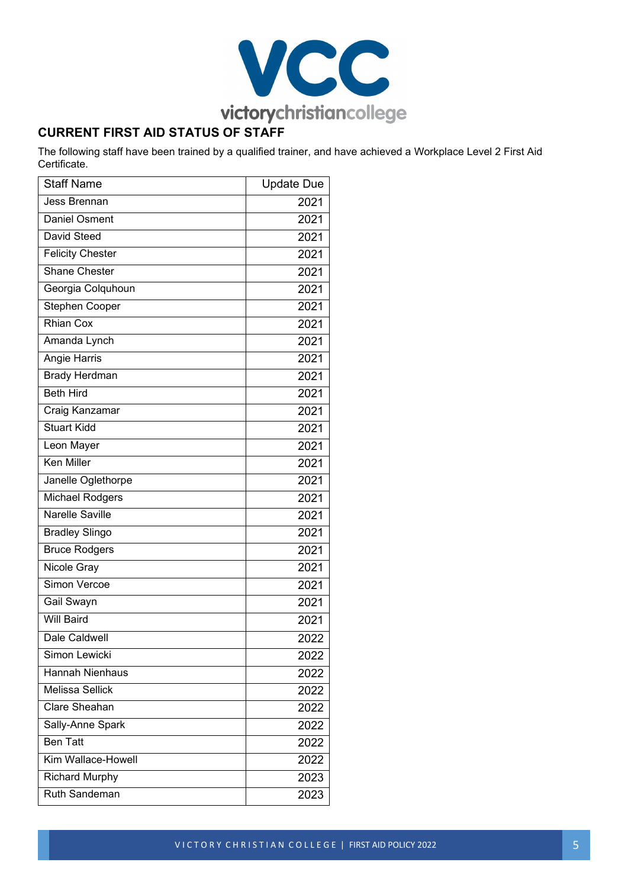

## **CURRENT FIRST AID STATUS OF STAFF**

The following staff have been trained by a qualified trainer, and have achieved a Workplace Level 2 First Aid Certificate.

| <b>Staff Name</b>       | <b>Update Due</b> |
|-------------------------|-------------------|
| <b>Jess Brennan</b>     | 2021              |
| <b>Daniel Osment</b>    | 2021              |
| <b>David Steed</b>      | 2021              |
| <b>Felicity Chester</b> | 2021              |
| <b>Shane Chester</b>    | 2021              |
| Georgia Colquhoun       | 2021              |
| <b>Stephen Cooper</b>   | 2021              |
| Rhian Cox               | 2021              |
| Amanda Lynch            | 2021              |
| Angie Harris            | 2021              |
| <b>Brady Herdman</b>    | 2021              |
| <b>Beth Hird</b>        | 2021              |
| Craig Kanzamar          | 2021              |
| <b>Stuart Kidd</b>      | 2021              |
| Leon Mayer              | 2021              |
| <b>Ken Miller</b>       | 2021              |
| Janelle Oglethorpe      | 2021              |
| <b>Michael Rodgers</b>  | 2021              |
| <b>Narelle Saville</b>  | 2021              |
| <b>Bradley Slingo</b>   | 2021              |
| <b>Bruce Rodgers</b>    | 2021              |
| Nicole Gray             | 2021              |
| Simon Vercoe            | 2021              |
| <b>Gail Swayn</b>       | 2021              |
| <b>Will Baird</b>       | 2021              |
| <b>Dale Caldwell</b>    | 2022              |
| Simon Lewicki           | 2022              |
| <b>Hannah Nienhaus</b>  | 2022              |
| <b>Melissa Sellick</b>  | 2022              |
| Clare Sheahan           | 2022              |
| Sally-Anne Spark        | 2022              |
| <b>Ben Tatt</b>         | 2022              |
| Kim Wallace-Howell      | 2022              |
| <b>Richard Murphy</b>   | 2023              |
| Ruth Sandeman           | 2023              |